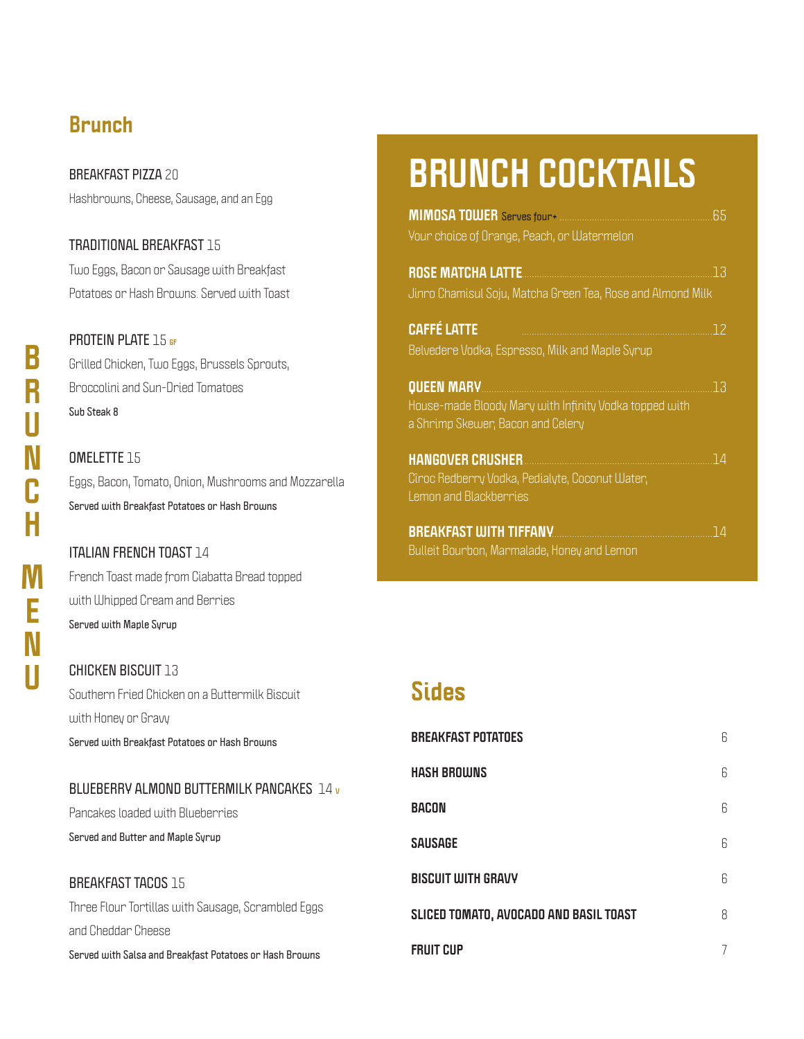## **Brunch**

**BREAKFAST PIZZA** 20 Hashbrowns, Cheese, Sausage, and an Egg

**TRADITIONAL BREAKFAST** 15 Two Eggs, Bacon or Sausage with Breakfast Potatoes or Hash Browns. Served with Toast

**PROTEIN PLATE** 15 **GF** Grilled Chicken, Two Eggs, Brussels Sprouts, Broccolini and Sun-Dried Tomatoes **Sub Steak 8**

**OMELETTE** 15 Eggs, Bacon, Tomato, Onion, Mushrooms and Mozzarella **Served with Breakfast Potatoes or Hash Browns**

### **ITALIAN FRENCH TOAST** 14

French Toast made from Ciabatta Bread topped with Whipped Cream and Berries **Served with Maple Syrup**

#### **CHICKEN BISCUIT** 13

Southern Fried Chicken on a Buttermilk Biscuit with Honey or Gravy **Served with Breakfast Potatoes or Hash Browns**

### **BLUEBERRY ALMOND BUTTERMILK PANCAKES** 14 **<sup>V</sup>**

Pancakes loaded with Blueberries **Served and Butter and Maple Syrup**

**BREAKFAST TACOS** 15 Three Flour Tortillas with Sausage, Scrambled Eggs and Cheddar Cheese **Served with Salsa and Breakfast Potatoes or Hash Browns**

# **BRUNCH COCKTAILS**

# **Sides**

| <b>BREAKFAST POTATOES</b>              | 6 |
|----------------------------------------|---|
| HASH BROWNS                            | 6 |
| Bacon                                  | 6 |
| Sausage                                | 6 |
| <b>BISCUIT WITH GRAVY</b>              | 6 |
| SLICED TOMATO, AVOCADO AND BASIL TOAST | 8 |
| <b>FRUIT CUP</b>                       | 7 |